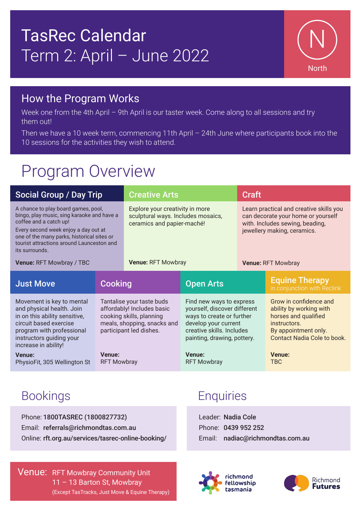# TasRec Calendar Term 2: April – June 2022



#### How the Program Works

Week one from the 4th April - 9th April is our taster week. Come along to all sessions and try them out!

Then we have a 10 week term, commencing 11th April – 24th June where participants book into the 10 sessions for the activities they wish to attend.

## Program Overview

| <b>Social Group / Day Trip</b>                                                                                                                                                                                                                                                               |                                                                                                                                               | <b>Creative Arts</b>                                                                                                             |                                                                                                                                                                           | <b>Craft</b>                                                                                                                                                                 |                                                                                                                                                         |
|----------------------------------------------------------------------------------------------------------------------------------------------------------------------------------------------------------------------------------------------------------------------------------------------|-----------------------------------------------------------------------------------------------------------------------------------------------|----------------------------------------------------------------------------------------------------------------------------------|---------------------------------------------------------------------------------------------------------------------------------------------------------------------------|------------------------------------------------------------------------------------------------------------------------------------------------------------------------------|---------------------------------------------------------------------------------------------------------------------------------------------------------|
| A chance to play board games, pool,<br>bingo, play music, sing karaoke and have a<br>coffee and a catch up!<br>Every second week enjoy a day out at<br>one of the many parks, historical sites or<br>tourist attractions around Launceston and<br>its surrounds.<br>Venue: RFT Mowbray / TBC |                                                                                                                                               | Explore your creativity in more<br>sculptural ways. Includes mosaics,<br>ceramics and papier-maché!<br><b>Venue: RFT Mowbray</b> |                                                                                                                                                                           | Learn practical and creative skills you<br>can decorate your home or yourself<br>with. Includes sewing, beading,<br>jewellery making, ceramics.<br><b>Venue: RFT Mowbray</b> |                                                                                                                                                         |
| <b>Just Move</b>                                                                                                                                                                                                                                                                             | <b>Cooking</b>                                                                                                                                |                                                                                                                                  | <b>Open Arts</b>                                                                                                                                                          |                                                                                                                                                                              | <b>Equine Therapy</b><br>in conjunction with Reclink                                                                                                    |
| Movement is key to mental<br>and physical health. Join<br>in on this ability sensitive,<br>circuit based exercise<br>program with professional<br>instructors guiding your<br>increase in ability!                                                                                           | Tantalise your taste buds<br>affordably! Includes basic<br>cooking skills, planning<br>meals, shopping, snacks and<br>participant led dishes. |                                                                                                                                  | Find new ways to express<br>yourself, discover different<br>ways to create or further<br>develop your current<br>creative skills. Includes<br>painting, drawing, pottery. |                                                                                                                                                                              | Grow in confidence and<br>ability by working with<br>horses and qualified<br>instructors.<br>By appointment only.<br><b>Contact Nadia Cole to book.</b> |
| <b>Venue:</b><br>PhysioFit, 305 Wellington St                                                                                                                                                                                                                                                | <b>Venue:</b><br><b>RFT Mowbray</b>                                                                                                           |                                                                                                                                  | <b>Venue:</b><br><b>RFT Mowbray</b>                                                                                                                                       |                                                                                                                                                                              | <b>Venue:</b><br><b>TBC</b>                                                                                                                             |

Phone: 1800TASREC (1800827732) Email: referrals@richmondtas.com.au Online: rft.org.au/services/tasrec-online-booking/

**Venue: RFT Mowbray Community Unit** 11 – 13 Barton St, Mowbray (Except TasTracks, Just Move & Equine Therapy)

### Bookings **Enquiries**

Leader: Nadia Cole Phone: 0439 952 252 Email: nadiac@richmondtas.com.au